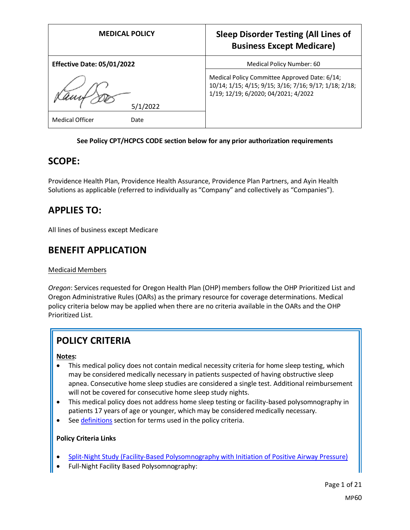| <b>MEDICAL POLICY</b>             | <b>Sleep Disorder Testing (All Lines of</b><br><b>Business Except Medicare)</b>                                                                 |
|-----------------------------------|-------------------------------------------------------------------------------------------------------------------------------------------------|
| <b>Effective Date: 05/01/2022</b> | Medical Policy Number: 60                                                                                                                       |
| 5/1/2022                          | Medical Policy Committee Approved Date: 6/14;<br>10/14; 1/15; 4/15; 9/15; 3/16; 7/16; 9/17; 1/18; 2/18;<br>1/19; 12/19; 6/2020; 04/2021; 4/2022 |
| Medical Officer<br>Date           |                                                                                                                                                 |

#### **See Policy CPT/HCPCS CODE section below for any prior authorization requirements**

## **SCOPE:**

Providence Health Plan, Providence Health Assurance, Providence Plan Partners, and Ayin Health Solutions as applicable (referred to individually as "Company" and collectively as "Companies").

## **APPLIES TO:**

All lines of business except Medicare

## **BENEFIT APPLICATION**

### Medicaid Members

*Oregon*: Services requested for Oregon Health Plan (OHP) members follow the OHP Prioritized List and Oregon Administrative Rules (OARs) as the primary resource for coverage determinations. Medical policy criteria below may be applied when there are no criteria available in the OARs and the OHP Prioritized List.

# **POLICY CRITERIA**

#### **Notes:**

- This medical policy does not contain medical necessity criteria for home sleep testing, which may be considered medically necessary in patients suspected of having obstructive sleep apnea. Consecutive home sleep studies are considered a single test. Additional reimbursement will not be covered for consecutive home sleep study nights.
- This medical policy does not address home sleep testing or facility-based polysomnography in patients 17 years of age or younger, which may be considered medically necessary.
- Se[e definitions](#page-8-0) section for terms used in the policy criteria.

### **Policy Criteria Links**

- [Split-Night Study \(Facility-Based Polysomnography with Initiation of Positive Airway Pressure\)](#page-1-0)
- Full-Night Facility Based Polysomnography: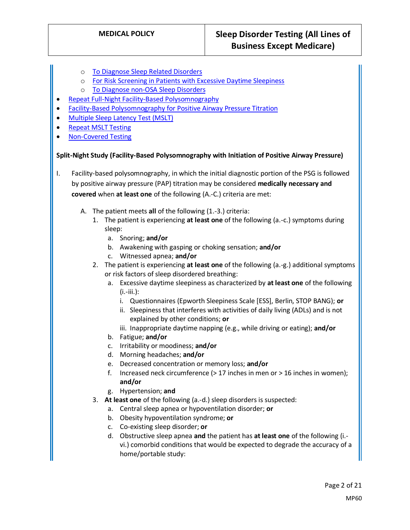- o [To Diagnose Sleep Related Disorders](#page-2-0)
- o [For Risk Screening in Patients with Excessive Daytime Sleepiness](#page-3-0)
- o [To Diagnose non-OSA Sleep Disorders](#page-4-0)
- [Repeat Full-Night Facility-Based Polysomnography](#page-4-1)
- [Facility-Based Polysomnography for Positive Airway Pressure Titration](#page-4-2)
- **[Multiple Sleep Latency Test \(MSLT\)](#page-5-0)**
- [Repeat MSLT Testing](#page-5-1)
- [Non-Covered Testing](#page-5-2)

#### <span id="page-1-0"></span>**Split-Night Study (Facility-Based Polysomnography with Initiation of Positive Airway Pressure)**

- I. Facility-based polysomnography, in which the initial diagnostic portion of the PSG is followed by positive airway pressure (PAP) titration may be considered **medically necessary and covered** when **at least one** of the following (A.-C.) criteria are met:
	- A. The patient meets **all** of the following (1.-3.) criteria:
		- 1. The patient is experiencing **at least one** of the following (a.-c.) symptoms during sleep:
			- a. Snoring; **and/or**
			- b. Awakening with gasping or choking sensation; **and/or**
			- c. Witnessed apnea; **and/or**
		- 2. The patient is experiencing **at least one** of the following (a.-g.) additional symptoms or risk factors of sleep disordered breathing:
			- a. Excessive daytime sleepiness as characterized by **at least one** of the following  $(i.-iii.):$ 
				- i. Questionnaires (Epworth Sleepiness Scale [ESS], Berlin, STOP BANG); **or**
				- ii. Sleepiness that interferes with activities of daily living (ADLs) and is not explained by other conditions; **or**
				- iii. Inappropriate daytime napping (e.g., while driving or eating); **and/or**
			- b. Fatigue; **and/or**
			- c. Irritability or moodiness; **and/or**
			- d. Morning headaches; **and/or**
			- e. Decreased concentration or memory loss; **and/or**
			- f. Increased neck circumference (> 17 inches in men or > 16 inches in women); **and/or**
			- g. Hypertension; **and**
		- 3. **At least one** of the following (a.-d.) sleep disorders is suspected:
			- a. Central sleep apnea or hypoventilation disorder; **or**
			- b. Obesity hypoventilation syndrome; **or**
			- c. Co-existing sleep disorder; **or**
			- d. Obstructive sleep apnea **and** the patient has **at least one** of the following (i. vi.) comorbid conditions that would be expected to degrade the accuracy of a home/portable study: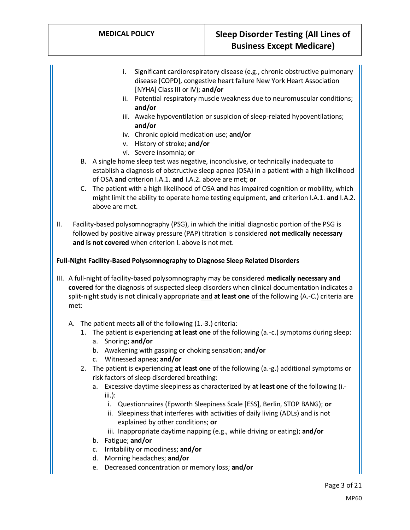- i. Significant cardiorespiratory disease (e.g., chronic obstructive pulmonary disease [COPD], congestive heart failure New York Heart Association [NYHA] Class III or IV); **and/or**
- ii. Potential respiratory muscle weakness due to neuromuscular conditions; **and/or**
- iii. Awake hypoventilation or suspicion of sleep-related hypoventilations; **and/or**
- iv. Chronic opioid medication use; **and/or**
- v. History of stroke; **and/or**
- vi. Severe insomnia; **or**
- B. A single home sleep test was negative, inconclusive, or technically inadequate to establish a diagnosis of obstructive sleep apnea (OSA) in a patient with a high likelihood of OSA **and** criterion I.A.1. **and** I.A.2. above are met; **or**
- C. The patient with a high likelihood of OSA **and** has impaired cognition or mobility, which might limit the ability to operate home testing equipment, **and** criterion I.A.1. **and** I.A.2. above are met.
- II. Facility-based polysomnography (PSG), in which the initial diagnostic portion of the PSG is followed by positive airway pressure (PAP) titration is considered **not medically necessary and is not covered** when criterion I. above is not met.

#### <span id="page-2-0"></span>**Full-Night Facility-Based Polysomnography to Diagnose Sleep Related Disorders**

- III. A full-night of facility-based polysomnography may be considered **medically necessary and covered** for the diagnosis of suspected sleep disorders when clinical documentation indicates a split-night study is not clinically appropriate and **at least one** of the following (A.-C.) criteria are met:
	- A. The patient meets **all** of the following (1.-3.) criteria:
		- 1. The patient is experiencing **at least one** of the following (a.-c.) symptoms during sleep:
			- a. Snoring; **and/or**
			- b. Awakening with gasping or choking sensation; **and/or**
			- c. Witnessed apnea; **and/or**
		- 2. The patient is experiencing **at least one** of the following (a.-g.) additional symptoms or risk factors of sleep disordered breathing:
			- a. Excessive daytime sleepiness as characterized by **at least one** of the following (i. iii.):
				- i. Questionnaires (Epworth Sleepiness Scale [ESS], Berlin, STOP BANG); **or**
				- ii. Sleepiness that interferes with activities of daily living (ADLs) and is not explained by other conditions; **or**
				- iii. Inappropriate daytime napping (e.g., while driving or eating); **and/or**
			- b. Fatigue; **and/or**
			- c. Irritability or moodiness; **and/or**
			- d. Morning headaches; **and/or**
			- e. Decreased concentration or memory loss; **and/or**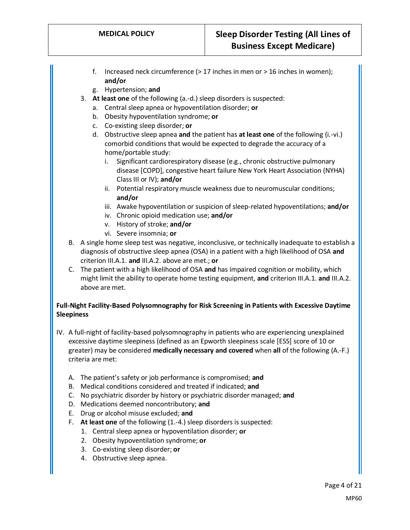- f. Increased neck circumference (> 17 inches in men or > 16 inches in women); **and/or**
- g. Hypertension; **and**
- 3. **At least one** of the following (a.-d.) sleep disorders is suspected:
	- a. Central sleep apnea or hypoventilation disorder; **or**
	- b. Obesity hypoventilation syndrome; **or**
	- c. Co-existing sleep disorder; **or**
	- d. Obstructive sleep apnea **and** the patient has **at least one** of the following (i.-vi.) comorbid conditions that would be expected to degrade the accuracy of a home/portable study:
		- i. Significant cardiorespiratory disease (e.g., chronic obstructive pulmonary disease [COPD], congestive heart failure New York Heart Association (NYHA) Class III or IV); **and/or**
		- ii. Potential respiratory muscle weakness due to neuromuscular conditions; **and/or**
		- iii. Awake hypoventilation or suspicion of sleep-related hypoventilations; **and/or**
		- iv. Chronic opioid medication use; **and/or**
		- v. History of stroke; **and/or**
		- vi. Severe insomnia; **or**
- B. A single home sleep test was negative, inconclusive, or technically inadequate to establish a diagnosis of obstructive sleep apnea (OSA) in a patient with a high likelihood of OSA **and**  criterion III.A.1. **and** III.A.2. above are met.; **or**
- C. The patient with a high likelihood of OSA **and** has impaired cognition or mobility, which might limit the ability to operate home testing equipment, **and** criterion III.A.1. **and** III.A.2. above are met.

### <span id="page-3-0"></span>**Full-Night Facility-Based Polysomnography for Risk Screening in Patients with Excessive Daytime Sleepiness**

- IV. A full-night of facility-based polysomnography in patients who are experiencing unexplained excessive daytime sleepiness (defined as an Epworth sleepiness scale [ESS] score of 10 or greater) may be considered **medically necessary and covered** when **all** of the following (A.-F.) criteria are met:
	- A. The patient's safety or job performance is compromised; **and**
	- B. Medical conditions considered and treated if indicated; **and**
	- C. No psychiatric disorder by history or psychiatric disorder managed; **and**
	- D. Medications deemed noncontributory; **and**
	- E. Drug or alcohol misuse excluded; **and**
	- F. **At least one** of the following (1.-4.) sleep disorders is suspected:
		- 1. Central sleep apnea or hypoventilation disorder; **or**
		- 2. Obesity hypoventilation syndrome; **or**
		- 3. Co-existing sleep disorder; **or**
		- 4. Obstructive sleep apnea.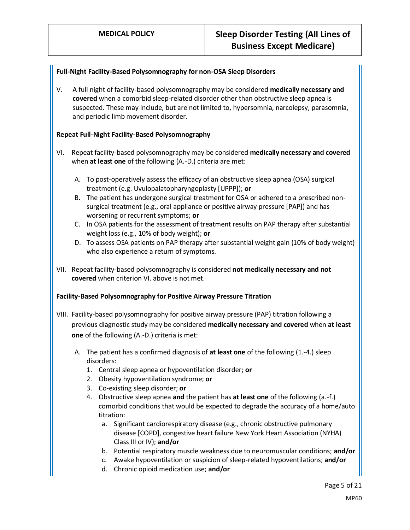### <span id="page-4-0"></span>**Full-Night Facility-Based Polysomnography for non-OSA Sleep Disorders**

V. A full night of facility-based polysomnography may be considered **medically necessary and covered** when a comorbid sleep-related disorder other than obstructive sleep apnea is suspected. These may include, but are not limited to, hypersomnia, narcolepsy, parasomnia, and periodic limb movement disorder.

### <span id="page-4-1"></span>**Repeat Full-Night Facility-Based Polysomnography**

- VI. Repeat facility-based polysomnography may be considered **medically necessary and covered** when **at least one** of the following (A.-D.) criteria are met:
	- A. To post-operatively assess the efficacy of an obstructive sleep apnea (OSA) surgical treatment (e.g. Uvulopalatopharyngoplasty [UPPP]); **or**
	- B. The patient has undergone surgical treatment for OSA or adhered to a prescribed nonsurgical treatment (e.g., oral appliance or positive airway pressure [PAP]) and has worsening or recurrent symptoms; **or**
	- C. In OSA patients for the assessment of treatment results on PAP therapy after substantial weight loss (e.g., 10% of body weight); **or**
	- D. To assess OSA patients on PAP therapy after substantial weight gain (10% of body weight) who also experience a return of symptoms.
- VII. Repeat facility-based polysomnography is considered **not medically necessary and not covered** when criterion VI. above is not met.

### <span id="page-4-2"></span>**Facility-Based Polysomnography for Positive Airway Pressure Titration**

- VIII. Facility-based polysomnography for positive airway pressure (PAP) titration following a previous diagnostic study may be considered **medically necessary and covered** when **at least one** of the following (A.-D.) criteria is met:
	- A. The patient has a confirmed diagnosis of **at least one** of the following (1.-4.) sleep disorders:
		- 1. Central sleep apnea or hypoventilation disorder; **or**
		- 2. Obesity hypoventilation syndrome; **or**
		- 3. Co-existing sleep disorder; **or**
		- 4. Obstructive sleep apnea **and** the patient has **at least one** of the following (a.-f.) comorbid conditions that would be expected to degrade the accuracy of a home/auto titration:
			- a. Significant cardiorespiratory disease (e.g., chronic obstructive pulmonary disease [COPD], congestive heart failure New York Heart Association (NYHA) Class III or IV); **and/or**
			- b. Potential respiratory muscle weakness due to neuromuscular conditions; **and/or**
			- c. Awake hypoventilation or suspicion of sleep-related hypoventilations; **and/or**
			- d. Chronic opioid medication use; **and/or**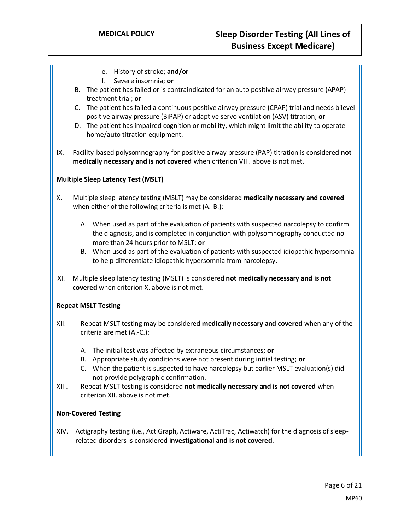- e. History of stroke; **and/or**
- f. Severe insomnia; **or**
- B. The patient has failed or is contraindicated for an auto positive airway pressure (APAP) treatment trial; **or**
- C. The patient has failed a continuous positive airway pressure (CPAP) trial and needs bilevel positive airway pressure (BiPAP) or adaptive servo ventilation (ASV) titration; **or**
- D. The patient has impaired cognition or mobility, which might limit the ability to operate home/auto titration equipment.
- IX. Facility-based polysomnography for positive airway pressure (PAP) titration is considered **not medically necessary and is not covered** when criterion VIII. above is not met.

#### <span id="page-5-0"></span>**Multiple Sleep Latency Test (MSLT)**

- X. Multiple sleep latency testing (MSLT) may be considered **medically necessary and covered**  when either of the following criteria is met (A.-B.):
	- A. When used as part of the evaluation of patients with suspected narcolepsy to confirm the diagnosis, and is completed in conjunction with polysomnography conducted no more than 24 hours prior to MSLT; **or**
	- B. When used as part of the evaluation of patients with suspected idiopathic hypersomnia to help differentiate idiopathic hypersomnia from narcolepsy.
- XI. Multiple sleep latency testing (MSLT) is considered **not medically necessary and is not covered** when criterion X. above is not met.

### <span id="page-5-1"></span>**Repeat MSLT Testing**

- XII. Repeat MSLT testing may be considered **medically necessary and covered** when any of the criteria are met (A.-C.):
	- A. The initial test was affected by extraneous circumstances; **or**
	- B. Appropriate study conditions were not present during initial testing; **or**
	- C. When the patient is suspected to have narcolepsy but earlier MSLT evaluation(s) did not provide polygraphic confirmation.
- XIII. Repeat MSLT testing is considered **not medically necessary and is not covered** when criterion XII. above is not met.

#### <span id="page-5-2"></span>**Non-Covered Testing**

XIV. Actigraphy testing (i.e., ActiGraph, Actiware, ActiTrac, Actiwatch) for the diagnosis of sleeprelated disorders is considered **investigational and is not covered**.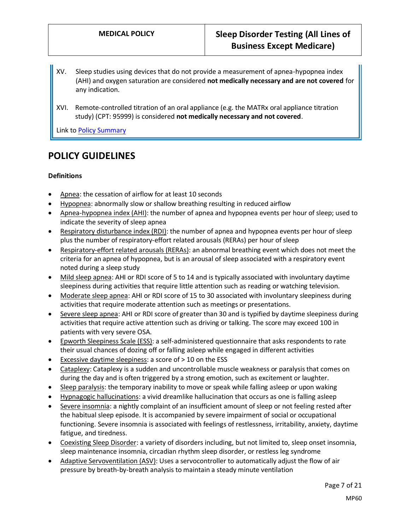- XV. Sleep studies using devices that do not provide a measurement of apnea-hypopnea index (AHI) and oxygen saturation are considered **not medically necessary and are not covered** for any indication.
- XVI. Remote-controlled titration of an oral appliance (e.g. the MATRx oral appliance titration study) (CPT: 95999) is considered **not medically necessary and not covered**.

Link t[o Policy Summary](#page-17-0)

## **POLICY GUIDELINES**

#### **Definitions**

- Apnea: the cessation of airflow for at least 10 seconds
- Hypopnea: abnormally slow or shallow breathing resulting in reduced airflow
- Apnea-hypopnea index (AHI): the number of apnea and hypopnea events per hour of sleep; used to indicate the severity of sleep apnea
- Respiratory disturbance index (RDI): the number of apnea and hypopnea events per hour of sleep plus the number of respiratory-effort related arousals (RERAs) per hour of sleep
- Respiratory-effort related arousals (RERAs): an abnormal breathing event which does not meet the criteria for an apnea of hypopnea, but is an arousal of sleep associated with a respiratory event noted during a sleep study
- Mild sleep apnea: AHI or RDI score of 5 to 14 and is typically associated with involuntary daytime sleepiness during activities that require little attention such as reading or watching television.
- Moderate sleep apnea: AHI or RDI score of 15 to 30 associated with involuntary sleepiness during activities that require moderate attention such as meetings or presentations.
- Severe sleep apnea: AHI or RDI score of greater than 30 and is typified by daytime sleepiness during activities that require active attention such as driving or talking. The score may exceed 100 in patients with very severe OSA.
- Epworth Sleepiness Scale (ESS): a self-administered questionnaire that asks respondents to rate their usual chances of dozing off or falling asleep while engaged in different activities
- Excessive daytime sleepiness: a score of > 10 on the ESS
- Cataplexy: Cataplexy is a sudden and uncontrollable muscle weakness or paralysis that comes on during the day and is often triggered by a strong emotion, such as excitement or laughter.
- Sleep paralysis: the temporary inability to move or speak while falling asleep or upon waking
- Hypnagogic hallucinations: a vivid dreamlike hallucination that occurs as one is falling asleep
- Severe insomnia: a nightly complaint of an insufficient amount of sleep or not feeling rested after the habitual sleep episode. It is accompanied by severe impairment of social or occupational functioning. Severe insomnia is associated with feelings of restlessness, irritability, anxiety, daytime fatigue, and tiredness.
- Coexisting Sleep Disorder: a variety of disorders including, but not limited to, sleep onset insomnia, sleep maintenance insomnia, circadian rhythm sleep disorder, or restless leg syndrome
- Adaptive Servoventilation (ASV): Uses a servocontroller to automatically adjust the flow of air pressure by breath-by-breath analysis to maintain a steady minute ventilation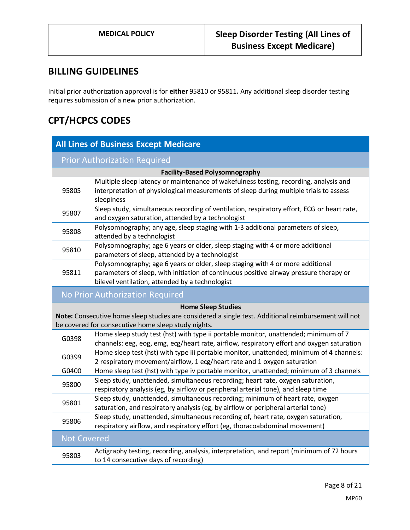## **BILLING GUIDELINES**

Initial prior authorization approval is for **either** 95810 or 95811**.** Any additional sleep disorder testing requires submission of a new prior authorization.

# **CPT/HCPCS CODES**

| <b>All Lines of Business Except Medicare</b>                                                                                                                                             |                                                                                                                                                                                                                             |  |  |  |  |  |
|------------------------------------------------------------------------------------------------------------------------------------------------------------------------------------------|-----------------------------------------------------------------------------------------------------------------------------------------------------------------------------------------------------------------------------|--|--|--|--|--|
| <b>Prior Authorization Required</b>                                                                                                                                                      |                                                                                                                                                                                                                             |  |  |  |  |  |
| <b>Facility-Based Polysomnography</b>                                                                                                                                                    |                                                                                                                                                                                                                             |  |  |  |  |  |
| 95805                                                                                                                                                                                    | Multiple sleep latency or maintenance of wakefulness testing, recording, analysis and<br>interpretation of physiological measurements of sleep during multiple trials to assess<br>sleepiness                               |  |  |  |  |  |
| 95807                                                                                                                                                                                    | Sleep study, simultaneous recording of ventilation, respiratory effort, ECG or heart rate,<br>and oxygen saturation, attended by a technologist                                                                             |  |  |  |  |  |
| 95808                                                                                                                                                                                    | Polysomnography; any age, sleep staging with 1-3 additional parameters of sleep,<br>attended by a technologist                                                                                                              |  |  |  |  |  |
| 95810                                                                                                                                                                                    | Polysomnography; age 6 years or older, sleep staging with 4 or more additional<br>parameters of sleep, attended by a technologist                                                                                           |  |  |  |  |  |
| 95811                                                                                                                                                                                    | Polysomnography; age 6 years or older, sleep staging with 4 or more additional<br>parameters of sleep, with initiation of continuous positive airway pressure therapy or<br>bilevel ventilation, attended by a technologist |  |  |  |  |  |
| No Prior Authorization Required                                                                                                                                                          |                                                                                                                                                                                                                             |  |  |  |  |  |
| <b>Home Sleep Studies</b><br>Note: Consecutive home sleep studies are considered a single test. Additional reimbursement will not<br>be covered for consecutive home sleep study nights. |                                                                                                                                                                                                                             |  |  |  |  |  |
| G0398                                                                                                                                                                                    | Home sleep study test (hst) with type ii portable monitor, unattended; minimum of 7<br>channels: eeg, eog, emg, ecg/heart rate, airflow, respiratory effort and oxygen saturation                                           |  |  |  |  |  |
| G0399                                                                                                                                                                                    | Home sleep test (hst) with type iii portable monitor, unattended; minimum of 4 channels:<br>2 respiratory movement/airflow, 1 ecg/heart rate and 1 oxygen saturation                                                        |  |  |  |  |  |
| G0400                                                                                                                                                                                    | Home sleep test (hst) with type iv portable monitor, unattended; minimum of 3 channels                                                                                                                                      |  |  |  |  |  |
| 95800                                                                                                                                                                                    | Sleep study, unattended, simultaneous recording; heart rate, oxygen saturation,<br>respiratory analysis (eg, by airflow or peripheral arterial tone), and sleep time                                                        |  |  |  |  |  |
| 95801                                                                                                                                                                                    | Sleep study, unattended, simultaneous recording; minimum of heart rate, oxygen<br>saturation, and respiratory analysis (eg, by airflow or peripheral arterial tone)                                                         |  |  |  |  |  |
| 95806                                                                                                                                                                                    | Sleep study, unattended, simultaneous recording of, heart rate, oxygen saturation,<br>respiratory airflow, and respiratory effort (eg, thoracoabdominal movement)                                                           |  |  |  |  |  |
| <b>Not Covered</b>                                                                                                                                                                       |                                                                                                                                                                                                                             |  |  |  |  |  |
| 95803                                                                                                                                                                                    | Actigraphy testing, recording, analysis, interpretation, and report (minimum of 72 hours<br>to 14 consecutive days of recording)                                                                                            |  |  |  |  |  |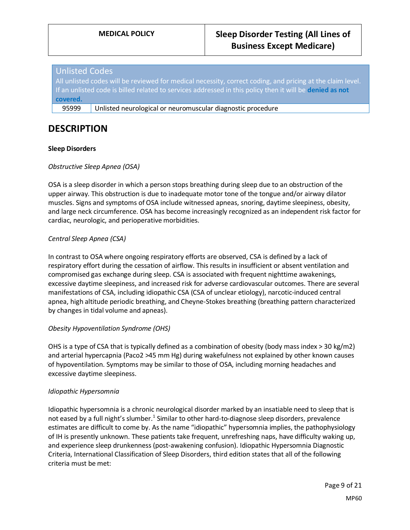### Unlisted Codes

All unlisted codes will be reviewed for medical necessity, correct coding, and pricing at the claim level. If an unlisted code is billed related to services addressed in this policy then it will be **denied as not covered.**

95999 | Unlisted neurological or neuromuscular diagnostic procedure

## <span id="page-8-0"></span>**DESCRIPTION**

#### **Sleep Disorders**

#### *Obstructive Sleep Apnea (OSA)*

OSA is a sleep disorder in which a person stops breathing during sleep due to an obstruction of the upper airway. This obstruction is due to inadequate motor tone of the tongue and/or airway dilator muscles. Signs and symptoms of OSA include witnessed apneas, snoring, daytime sleepiness, obesity, and large neck circumference. OSA has become increasingly recognized as an independent risk factor for cardiac, neurologic, and perioperative morbidities.

#### *Central Sleep Apnea (CSA)*

In contrast to OSA where ongoing respiratory efforts are observed, CSA is defined by a lack of respiratory effort during the cessation of airflow. This results in insufficient or absent ventilation and compromised gas exchange during sleep. CSA is associated with frequent nighttime awakenings, excessive daytime sleepiness, and increased risk for adverse cardiovascular outcomes. There are several manifestations of CSA, including idiopathic CSA (CSA of unclear etiology), narcotic-induced central apnea, high altitude periodic breathing, and Cheyne-Stokes breathing (breathing pattern characterized by changes in tidal volume and apneas).

#### *Obesity Hypoventilation Syndrome (OHS)*

OHS is a type of CSA that is typically defined as a combination of obesity (body mass index  $>$  30 kg/m2) and arterial hypercapnia (Paco2 >45 mm Hg) during wakefulness not explained by other known causes of hypoventilation. Symptoms may be similar to those of OSA, including morning headaches and excessive daytime sleepiness.

#### *Idiopathic Hypersomnia*

Idiopathic hypersomnia is a chronic neurological disorder marked by an insatiable need to sleep that is not eased by a full night's slumber.<sup>1</sup> Similar to other hard-to-diagnose sleep disorders, prevalence estimates are difficult to come by. As the name "idiopathic" hypersomnia implies, the pathophysiology of IH is presently unknown. These patients take frequent, unrefreshing naps, have difficulty waking up, and experience sleep drunkenness (post-awakening confusion). Idiopathic Hypersomnia Diagnostic Criteria, International Classification of Sleep Disorders, third edition states that all of the following criteria must be met: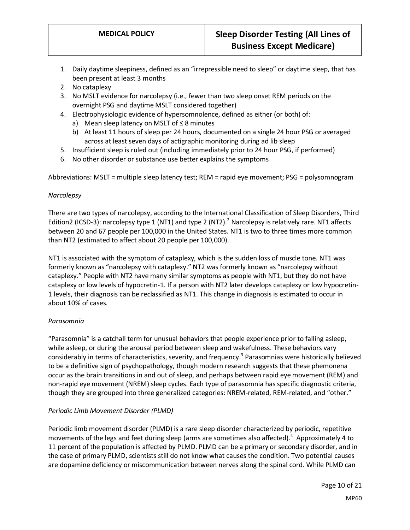- 1. Daily daytime sleepiness, defined as an "irrepressible need to sleep" or daytime sleep, that has been present at least 3 months
- 2. No cataplexy
- 3. No MSLT evidence for narcolepsy (i.e., fewer than two sleep onset REM periods on the overnight PSG and daytime MSLT considered together)
- 4. Electrophysiologic evidence of hypersomnolence, defined as either (or both) of:
	- a) Mean sleep latency on MSLT of ≤ 8 minutes
	- b) At least 11 hours of sleep per 24 hours, documented on a single 24 hour PSG or averaged across at least seven days of actigraphic monitoring during ad lib sleep
- 5. Insufficient sleep is ruled out (including immediately prior to 24 hour PSG, if performed)
- 6. No other disorder or substance use better explains the symptoms

Abbreviations: MSLT = multiple sleep latency test; REM = rapid eye movement; PSG = polysomnogram

#### *Narcolepsy*

There are two types of narcolepsy, according to the International Classification of Sleep Disorders, Third Edition2 (ICSD-3): narcolepsy type 1 (NT1) and type 2 (NT2).<sup>2</sup> Narcolepsy is relatively rare. NT1 affects between 20 and 67 people per 100,000 in the United States. NT1 is two to three times more common than NT2 (estimated to affect about 20 people per 100,000).

NT1 is associated with the symptom of cataplexy, which is the sudden loss of muscle tone. NT1 was formerly known as "narcolepsy with cataplexy." NT2 was formerly known as "narcolepsy without cataplexy." People with NT2 have many similar symptoms as people with NT1, but they do not have cataplexy or low levels of hypocretin-1. If a person with NT2 later develops cataplexy or low hypocretin-1 levels, their diagnosis can be reclassified as NT1. This change in diagnosis is estimated to occur in about 10% of cases.

### *Parasomnia*

"Parasomnia" is a catchall term for unusual behaviors that people experience prior to falling asleep, while asleep, or during the arousal period between sleep and wakefulness. These behaviors vary considerably in terms of characteristics, severity, and frequency.<sup>3</sup> Parasomnias were historically believed to be a definitive sign of psychopathology, though modern research suggests that these phemonena occur as the brain transitions in and out of sleep, and perhaps between rapid eye movement (REM) and non-rapid eye movement (NREM) sleep cycles. Each type of parasomnia has specific diagnostic criteria, though they are grouped into three generalized categories: NREM-related, REM-related, and "other."

### *Periodic Limb Movement Disorder (PLMD)*

Periodic limb movement disorder (PLMD) is a rare sleep disorder characterized by periodic, repetitive movements of the legs and feet during sleep (arms are sometimes also affected).<sup>4</sup> Approximately 4 to 11 percent of the population is affected by PLMD. PLMD can be a primary or secondary disorder, and in the case of primary PLMD, scientists still do not know what causes the condition. Two potential causes are dopamine deficiency or miscommunication between nerves along the spinal cord. While PLMD can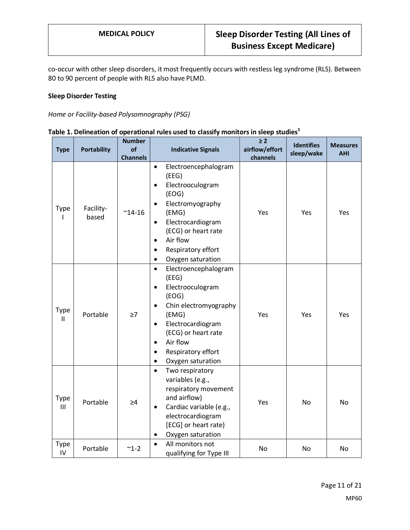co-occur with other sleep disorders, it most frequently occurs with restless leg syndrome (RLS). Between 80 to 90 percent of people with RLS also have PLMD.

### **Sleep Disorder Testing**

*Home or Facility-based Polysomnography (PSG)*

| <b>Type</b> | <b>Portability</b> | <b>Number</b><br>of<br><b>Channels</b> | <b>Indicative Signals</b>                                                                                                                                                                                                                                          | $\geq 2$<br>airflow/effort<br>channels | <b>Identifies</b><br>sleep/wake | <b>Measures</b><br><b>AHI</b> |
|-------------|--------------------|----------------------------------------|--------------------------------------------------------------------------------------------------------------------------------------------------------------------------------------------------------------------------------------------------------------------|----------------------------------------|---------------------------------|-------------------------------|
| <b>Type</b> | Facility-<br>based | $^{\sim}$ 14-16                        | Electroencephalogram<br>$\bullet$<br>(EEG)<br>Electrooculogram<br>٠<br>(EOG)<br>Electromyography<br>٠<br>(EMG)<br>Electrocardiogram<br>$\bullet$<br>(ECG) or heart rate<br>Air flow<br>$\bullet$<br>Respiratory effort<br>٠<br>Oxygen saturation<br>$\bullet$      | Yes                                    | Yes                             | Yes                           |
| Type<br>Ш   | Portable           | $\geq 7$                               | Electroencephalogram<br>$\bullet$<br>(EEG)<br>Electrooculogram<br>$\bullet$<br>(EOG)<br>Chin electromyography<br>٠<br>(EMG)<br>Electrocardiogram<br>$\bullet$<br>(ECG) or heart rate<br>Air flow<br>٠<br>Respiratory effort<br>$\bullet$<br>Oxygen saturation<br>٠ | Yes                                    | Yes                             | Yes                           |
| Type<br>III | Portable           | $\geq 4$                               | Two respiratory<br>$\bullet$<br>variables (e.g.,<br>respiratory movement<br>and airflow)<br>Cardiac variable (e.g.,<br>٠<br>electrocardiogram<br>[ECG] or heart rate)<br>Oxygen saturation<br>٠                                                                    | Yes                                    | <b>No</b>                       | <b>No</b>                     |
| Type<br>IV  | Portable           | $~1 - 2$                               | All monitors not<br>$\bullet$<br>qualifying for Type III                                                                                                                                                                                                           | No                                     | No                              | No                            |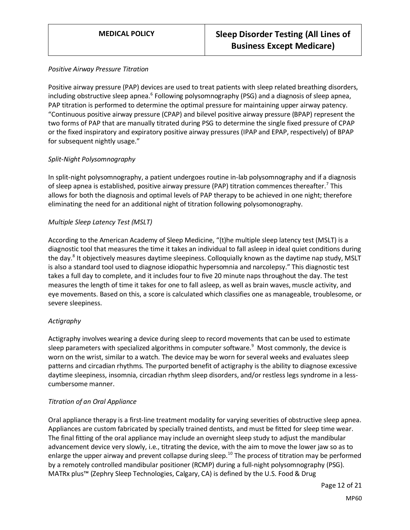#### *Positive Airway Pressure Titration*

Positive airway pressure (PAP) devices are used to treat patients with sleep related breathing disorders, including obstructive sleep apnea.<sup>6</sup> Following polysomnography (PSG) and a diagnosis of sleep apnea, PAP titration is performed to determine the optimal pressure for maintaining upper airway patency. "Continuous positive airway pressure (CPAP) and bilevel positive airway pressure (BPAP) represent the two forms of PAP that are manually titrated during PSG to determine the single fixed pressure of CPAP or the fixed inspiratory and expiratory positive airway pressures (IPAP and EPAP, respectively) of BPAP for subsequent nightly usage."

### *Split-Night Polysomnography*

In split-night polysomnography, a patient undergoes routine in-lab polysomnography and if a diagnosis of sleep apnea is established, positive airway pressure (PAP) titration commences thereafter.<sup>7</sup> This allows for both the diagnosis and optimal levels of PAP therapy to be achieved in one night; therefore eliminating the need for an additional night of titration following polysomonography.

#### *Multiple Sleep Latency Test (MSLT)*

According to the American Academy of Sleep Medicine, "(t)he multiple sleep latency test (MSLT) is a diagnostic tool that measures the time it takes an individual to fall asleep in ideal quiet conditions during the day.<sup>8</sup> It objectively measures daytime sleepiness. Colloquially known as the daytime nap study, MSLT is also a standard tool used to diagnose idiopathic hypersomnia and narcolepsy." This diagnostic test takes a full day to complete, and it includes four to five 20 minute naps throughout the day. The test measures the length of time it takes for one to fall asleep, as well as brain waves, muscle activity, and eye movements. Based on this, a score is calculated which classifies one as manageable, troublesome, or severe sleepiness.

### *Actigraphy*

Actigraphy involves wearing a device during sleep to record movements that can be used to estimate sleep parameters with specialized algorithms in computer software.<sup>9</sup> Most commonly, the device is worn on the wrist, similar to a watch. The device may be worn for several weeks and evaluates sleep patterns and circadian rhythms. The purported benefit of actigraphy is the ability to diagnose excessive daytime sleepiness, insomnia, circadian rhythm sleep disorders, and/or restless legs syndrome in a lesscumbersome manner.

### *Titration of an Oral Appliance*

Oral appliance therapy is a first-line treatment modality for varying severities of obstructive sleep apnea. Appliances are custom fabricated by specially trained dentists, and must be fitted for sleep time wear. The final fitting of the oral appliance may include an overnight sleep study to adjust the mandibular advancement device very slowly, i.e., titrating the device, with the aim to move the lower jaw so as to enlarge the upper airway and prevent collapse during sleep.<sup>10</sup> The process of titration may be performed by a remotely controlled mandibular positioner (RCMP) during a full-night polysomnography (PSG). MATRx plus™ (Zephry Sleep Technologies, Calgary, CA) is defined by the U.S. Food & Drug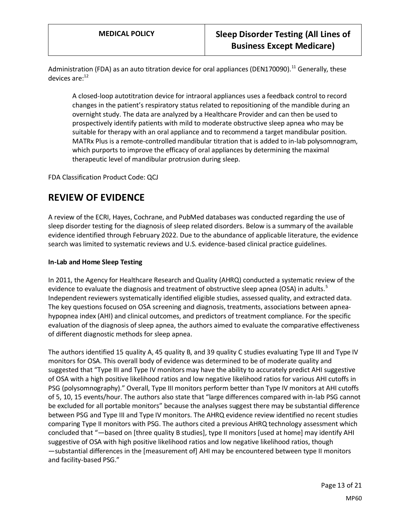Administration (FDA) as an auto titration device for oral appliances (DEN170090).<sup>11</sup> Generally, these devices are: $12$ 

A closed-loop autotitration device for intraoral appliances uses a feedback control to record changes in the patient's respiratory status related to repositioning of the mandible during an overnight study. The data are analyzed by a Healthcare Provider and can then be used to prospectively identify patients with mild to moderate obstructive sleep apnea who may be suitable for therapy with an oral appliance and to recommend a target mandibular position. MATRx Plus is a remote-controlled mandibular titration that is added to in-lab polysomnogram, which purports to improve the efficacy of oral appliances by determining the maximal therapeutic level of mandibular protrusion during sleep.

FDA Classification Product Code: QCJ

## **REVIEW OF EVIDENCE**

A review of the ECRI, Hayes, Cochrane, and PubMed databases was conducted regarding the use of sleep disorder testing for the diagnosis of sleep related disorders. Below is a summary of the available evidence identified through February 2022. Due to the abundance of applicable literature, the evidence search was limited to systematic reviews and U.S. evidence-based clinical practice guidelines.

### **In-Lab and Home Sleep Testing**

In 2011, the Agency for Healthcare Research and Quality (AHRQ) conducted a systematic review of the evidence to evaluate the diagnosis and treatment of obstructive sleep apnea (OSA) in adults.<sup>5</sup> Independent reviewers systematically identified eligible studies, assessed quality, and extracted data. The key questions focused on OSA screening and diagnosis, treatments, associations between apneahypopnea index (AHI) and clinical outcomes, and predictors of treatment compliance. For the specific evaluation of the diagnosis of sleep apnea, the authors aimed to evaluate the comparative effectiveness of different diagnostic methods for sleep apnea.

The authors identified 15 quality A, 45 quality B, and 39 quality C studies evaluating Type III and Type IV monitors for OSA. This overall body of evidence was determined to be of moderate quality and suggested that "Type III and Type IV monitors may have the ability to accurately predict AHI suggestive of OSA with a high positive likelihood ratios and low negative likelihood ratios for various AHI cutoffs in PSG (polysomnography)." Overall, Type III monitors perform better than Type IV monitors at AHI cutoffs of 5, 10, 15 events/hour. The authors also state that "large differences compared with in-lab PSG cannot be excluded for all portable monitors" because the analyses suggest there may be substantial difference between PSG and Type III and Type IV monitors. The AHRQ evidence review identified no recent studies comparing Type II monitors with PSG. The authors cited a previous AHRQ technology assessment which concluded that "―based on [three quality B studies], type II monitors [used at home] may identify AHI suggestive of OSA with high positive likelihood ratios and low negative likelihood ratios, though ―substantial differences in the [measurement of] AHI may be encountered between type II monitors and facility-based PSG."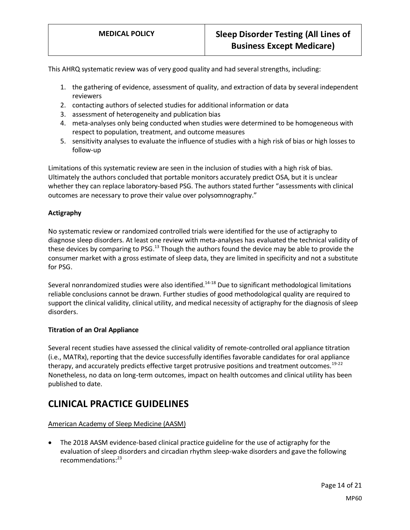This AHRQ systematic review was of very good quality and had several strengths, including:

- 1. the gathering of evidence, assessment of quality, and extraction of data by several independent reviewers
- 2. contacting authors of selected studies for additional information or data
- 3. assessment of heterogeneity and publication bias
- 4. meta-analyses only being conducted when studies were determined to be homogeneous with respect to population, treatment, and outcome measures
- 5. sensitivity analyses to evaluate the influence of studies with a high risk of bias or high losses to follow-up

Limitations of this systematic review are seen in the inclusion of studies with a high risk of bias. Ultimately the authors concluded that portable monitors accurately predict OSA, but it is unclear whether they can replace laboratory-based PSG. The authors stated further "assessments with clinical outcomes are necessary to prove their value over polysomnography."

#### **Actigraphy**

No systematic review or randomized controlled trials were identified for the use of actigraphy to diagnose sleep disorders. At least one review with meta-analyses has evaluated the technical validity of these devices by comparing to PSG.<sup>13</sup> Though the authors found the device may be able to provide the consumer market with a gross estimate of sleep data, they are limited in specificity and not a substitute for PSG.

Several nonrandomized studies were also identified.<sup>14-18</sup> Due to significant methodological limitations reliable conclusions cannot be drawn. Further studies of good methodological quality are required to support the clinical validity, clinical utility, and medical necessity of actigraphy for the diagnosis of sleep disorders.

#### **Titration of an Oral Appliance**

Several recent studies have assessed the clinical validity of remote-controlled oral appliance titration (i.e., MATRx), reporting that the device successfully identifies favorable candidates for oral appliance therapy, and accurately predicts effective target protrusive positions and treatment outcomes.<sup>19-22</sup> Nonetheless, no data on long-term outcomes, impact on health outcomes and clinical utility has been published to date.

## **CLINICAL PRACTICE GUIDELINES**

#### American Academy of Sleep Medicine (AASM)

• The 2018 AASM evidence-based clinical practice guideline for the use of actigraphy for the evaluation of sleep disorders and circadian rhythm sleep-wake disorders and gave the following recommendations:<sup>23</sup>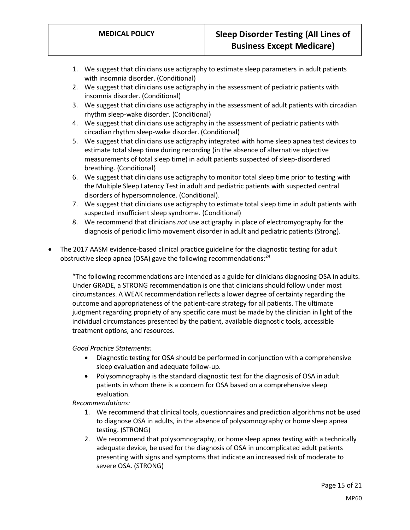- 1. We suggest that clinicians use actigraphy to estimate sleep parameters in adult patients with insomnia disorder. (Conditional)
- 2. We suggest that clinicians use actigraphy in the assessment of pediatric patients with insomnia disorder. (Conditional)
- 3. We suggest that clinicians use actigraphy in the assessment of adult patients with circadian rhythm sleep-wake disorder. (Conditional)
- 4. We suggest that clinicians use actigraphy in the assessment of pediatric patients with circadian rhythm sleep-wake disorder. (Conditional)
- 5. We suggest that clinicians use actigraphy integrated with home sleep apnea test devices to estimate total sleep time during recording (in the absence of alternative objective measurements of total sleep time) in adult patients suspected of sleep-disordered breathing. (Conditional)
- 6. We suggest that clinicians use actigraphy to monitor total sleep time prior to testing with the Multiple Sleep Latency Test in adult and pediatric patients with suspected central disorders of hypersomnolence. (Conditional).
- 7. We suggest that clinicians use actigraphy to estimate total sleep time in adult patients with suspected insufficient sleep syndrome. (Conditional)
- 8. We recommend that clinicians *not* use actigraphy in place of electromyography for the diagnosis of periodic limb movement disorder in adult and pediatric patients (Strong).
- The 2017 AASM evidence-based clinical practice guideline for the diagnostic testing for adult obstructive sleep apnea (OSA) gave the following recommendations: $^{24}$

"The following recommendations are intended as a guide for clinicians diagnosing OSA in adults. Under GRADE, a STRONG recommendation is one that clinicians should follow under most circumstances. A WEAK recommendation reflects a lower degree of certainty regarding the outcome and appropriateness of the patient-care strategy for all patients. The ultimate judgment regarding propriety of any specific care must be made by the clinician in light of the individual circumstances presented by the patient, available diagnostic tools, accessible treatment options, and resources.

*Good Practice Statements:*

- Diagnostic testing for OSA should be performed in conjunction with a comprehensive sleep evaluation and adequate follow-up.
- Polysomnography is the standard diagnostic test for the diagnosis of OSA in adult patients in whom there is a concern for OSA based on a comprehensive sleep evaluation.

*Recommendations:*

- 1. We recommend that clinical tools, questionnaires and prediction algorithms not be used to diagnose OSA in adults, in the absence of polysomnography or home sleep apnea testing. (STRONG)
- 2. We recommend that polysomnography, or home sleep apnea testing with a technically adequate device, be used for the diagnosis of OSA in uncomplicated adult patients presenting with signs and symptoms that indicate an increased risk of moderate to severe OSA. (STRONG)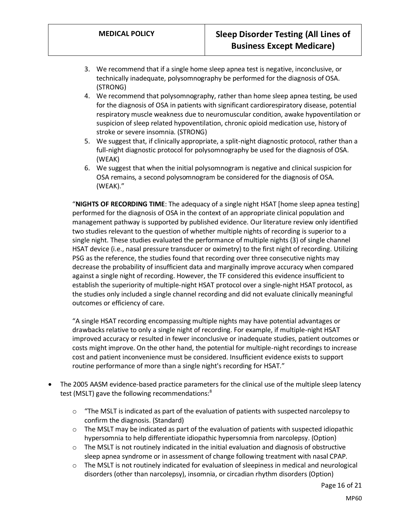- 3. We recommend that if a single home sleep apnea test is negative, inconclusive, or technically inadequate, polysomnography be performed for the diagnosis of OSA. (STRONG)
- 4. We recommend that polysomnography, rather than home sleep apnea testing, be used for the diagnosis of OSA in patients with significant cardiorespiratory disease, potential respiratory muscle weakness due to neuromuscular condition, awake hypoventilation or suspicion of sleep related hypoventilation, chronic opioid medication use, history of stroke or severe insomnia. (STRONG)
- 5. We suggest that, if clinically appropriate, a split-night diagnostic protocol, rather than a full-night diagnostic protocol for polysomnography be used for the diagnosis of OSA. (WEAK)
- 6. We suggest that when the initial polysomnogram is negative and clinical suspicion for OSA remains, a second polysomnogram be considered for the diagnosis of OSA. (WEAK)."

"**NIGHTS OF RECORDING TIME**: The adequacy of a single night HSAT [home sleep apnea testing] performed for the diagnosis of OSA in the context of an appropriate clinical population and management pathway is supported by published evidence. Our literature review only identified two studies relevant to the question of whether multiple nights of recording is superior to a single night. These studies evaluated the performance of multiple nights (3) of single channel HSAT device (i.e., nasal pressure transducer or oximetry) to the first night of recording. Utilizing PSG as the reference, the studies found that recording over three consecutive nights may decrease the probability of insufficient data and marginally improve accuracy when compared against a single night of recording. However, the TF considered this evidence insufficient to establish the superiority of multiple-night HSAT protocol over a single-night HSAT protocol, as the studies only included a single channel recording and did not evaluate clinically meaningful outcomes or efficiency of care.

"A single HSAT recording encompassing multiple nights may have potential advantages or drawbacks relative to only a single night of recording. For example, if multiple-night HSAT improved accuracy or resulted in fewer inconclusive or inadequate studies, patient outcomes or costs might improve. On the other hand, the potential for multiple-night recordings to increase cost and patient inconvenience must be considered. Insufficient evidence exists to support routine performance of more than a single night's recording for HSAT."

- The 2005 AASM evidence-based practice parameters for the clinical use of the multiple sleep latency test (MSLT) gave the following recommendations:<sup>8</sup>
	- $\circ$  "The MSLT is indicated as part of the evaluation of patients with suspected narcolepsy to confirm the diagnosis. (Standard)
	- $\circ$  The MSLT may be indicated as part of the evaluation of patients with suspected idiopathic hypersomnia to help differentiate idiopathic hypersomnia from narcolepsy. (Option)
	- $\circ$  The MSLT is not routinely indicated in the initial evaluation and diagnosis of obstructive sleep apnea syndrome or in assessment of change following treatment with nasal CPAP.
	- $\circ$  The MSLT is not routinely indicated for evaluation of sleepiness in medical and neurological disorders (other than narcolepsy), insomnia, or circadian rhythm disorders (Option)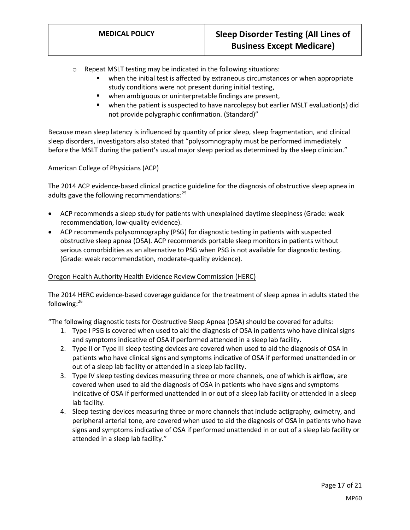- o Repeat MSLT testing may be indicated in the following situations:
	- when the initial test is affected by extraneous circumstances or when appropriate study conditions were not present during initial testing,
	- when ambiguous or uninterpretable findings are present,
	- when the patient is suspected to have narcolepsy but earlier MSLT evaluation(s) did not provide polygraphic confirmation. (Standard)"

Because mean sleep latency is influenced by quantity of prior sleep, sleep fragmentation, and clinical sleep disorders, investigators also stated that "polysomnography must be performed immediately before the MSLT during the patient's usual major sleep period as determined by the sleep clinician."

#### American College of Physicians (ACP)

The 2014 ACP evidence-based clinical practice guideline for the diagnosis of obstructive sleep apnea in adults gave the following recommendations:<sup>25</sup>

- ACP recommends a sleep study for patients with unexplained daytime sleepiness (Grade: weak recommendation, low-quality evidence).
- ACP recommends polysomnography (PSG) for diagnostic testing in patients with suspected obstructive sleep apnea (OSA). ACP recommends portable sleep monitors in patients without serious comorbidities as an alternative to PSG when PSG is not available for diagnostic testing. (Grade: weak recommendation, moderate-quality evidence).

### Oregon Health Authority Health Evidence Review Commission (HERC)

The 2014 HERC evidence-based coverage guidance for the treatment of sleep apnea in adults stated the following: 26

"The following diagnostic tests for Obstructive Sleep Apnea (OSA) should be covered for adults:

- 1. Type I PSG is covered when used to aid the diagnosis of OSA in patients who have clinical signs and symptoms indicative of OSA if performed attended in a sleep lab facility.
- 2. Type II or Type III sleep testing devices are covered when used to aid the diagnosis of OSA in patients who have clinical signs and symptoms indicative of OSA if performed unattended in or out of a sleep lab facility or attended in a sleep lab facility.
- 3. Type IV sleep testing devices measuring three or more channels, one of which is airflow, are covered when used to aid the diagnosis of OSA in patients who have signs and symptoms indicative of OSA if performed unattended in or out of a sleep lab facility or attended in a sleep lab facility.
- 4. Sleep testing devices measuring three or more channels that include actigraphy, oximetry, and peripheral arterial tone, are covered when used to aid the diagnosis of OSA in patients who have signs and symptoms indicative of OSA if performed unattended in or out of a sleep lab facility or attended in a sleep lab facility."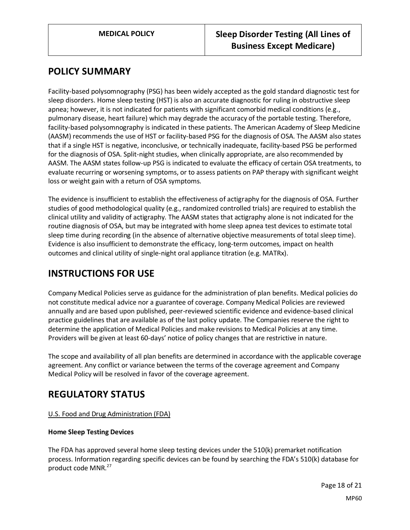## <span id="page-17-0"></span>**POLICY SUMMARY**

Facility-based polysomnography (PSG) has been widely accepted as the gold standard diagnostic test for sleep disorders. Home sleep testing (HST) is also an accurate diagnostic for ruling in obstructive sleep apnea; however, it is not indicated for patients with significant comorbid medical conditions (e.g., pulmonary disease, heart failure) which may degrade the accuracy of the portable testing. Therefore, facility-based polysomnography is indicated in these patients. The American Academy of Sleep Medicine (AASM) recommends the use of HST or facility-based PSG for the diagnosis of OSA. The AASM also states that if a single HST is negative, inconclusive, or technically inadequate, facility-based PSG be performed for the diagnosis of OSA. Split-night studies, when clinically appropriate, are also recommended by AASM. The AASM states follow-up PSG is indicated to evaluate the efficacy of certain OSA treatments, to evaluate recurring or worsening symptoms, or to assess patients on PAP therapy with significant weight loss or weight gain with a return of OSA symptoms.

The evidence is insufficient to establish the effectiveness of actigraphy for the diagnosis of OSA. Further studies of good methodological quality (e.g., randomized controlled trials) are required to establish the clinical utility and validity of actigraphy. The AASM states that actigraphy alone is not indicated for the routine diagnosis of OSA, but may be integrated with home sleep apnea test devices to estimate total sleep time during recording (in the absence of alternative objective measurements of total sleep time). Evidence is also insufficient to demonstrate the efficacy, long-term outcomes, impact on health outcomes and clinical utility of single-night oral appliance titration (e.g. MATRx).

# **INSTRUCTIONS FOR USE**

Company Medical Policies serve as guidance for the administration of plan benefits. Medical policies do not constitute medical advice nor a guarantee of coverage. Company Medical Policies are reviewed annually and are based upon published, peer-reviewed scientific evidence and evidence-based clinical practice guidelines that are available as of the last policy update. The Companies reserve the right to determine the application of Medical Policies and make revisions to Medical Policies at any time. Providers will be given at least 60-days' notice of policy changes that are restrictive in nature.

The scope and availability of all plan benefits are determined in accordance with the applicable coverage agreement. Any conflict or variance between the terms of the coverage agreement and Company Medical Policy will be resolved in favor of the coverage agreement.

# **REGULATORY STATUS**

### U.S. Food and Drug Administration (FDA)

### **Home Sleep Testing Devices**

The FDA has approved several home sleep testing devices under the 510(k) premarket notification process. Information regarding specific devices can be found by searching the FDA's 510(k) database for product code MNR.<sup>27</sup>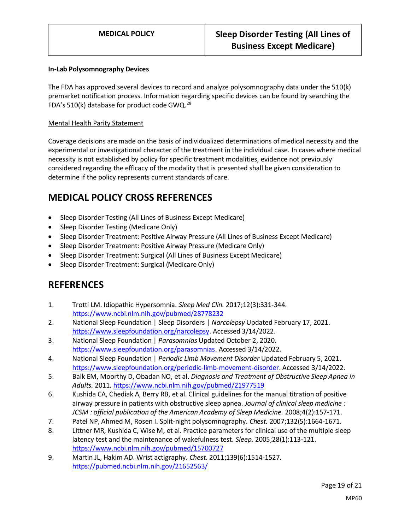#### **In-Lab Polysomnography Devices**

The FDA has approved several devices to record and analyze polysomnography data under the 510(k) premarket notification process. Information regarding specific devices can be found by searching the FDA's 510(k) database for product code GWQ.<sup>28</sup>

#### Mental Health Parity Statement

Coverage decisions are made on the basis of individualized determinations of medical necessity and the experimental or investigational character of the treatment in the individual case. In cases where medical necessity is not established by policy for specific treatment modalities, evidence not previously considered regarding the efficacy of the modality that is presented shall be given consideration to determine if the policy represents current standards of care.

## **MEDICAL POLICY CROSS REFERENCES**

- Sleep Disorder Testing (All Lines of Business Except Medicare)
- Sleep Disorder Testing (Medicare Only)
- Sleep Disorder Treatment: Positive Airway Pressure (All Lines of Business Except Medicare)
- Sleep Disorder Treatment: Positive Airway Pressure (Medicare Only)
- Sleep Disorder Treatment: Surgical (All Lines of Business Except Medicare)
- Sleep Disorder Treatment: Surgical (Medicare Only)

## **REFERENCES**

- 1. Trotti LM. Idiopathic Hypersomnia. *Sleep Med Clin.* 2017;12(3):331-344. <https://www.ncbi.nlm.nih.gov/pubmed/28778232>
- 2. National Sleep Foundation | Sleep Disorders | *Narcolepsy* Updated February 17, 2021. [https://www.sleepfoundation.org/narcolepsy.](https://www.sleepfoundation.org/narcolepsy) Accessed 3/14/2022.
- 3. National Sleep Foundation | *Parasomnias* Updated October 2, 2020. [https://www.sleepfoundation.org/parasomnias.](https://www.sleepfoundation.org/parasomnias) Accessed 3/14/2022.
- 4. National Sleep Foundation | *Periodic Limb Movement Disorder* Updated February 5, 2021. [https://www.sleepfoundation.org/periodic-limb-movement-disorder.](https://www.sleepfoundation.org/periodic-limb-movement-disorder) Accessed 3/14/2022.
- 5. Balk EM, Moorthy D, Obadan NO, et al. *Diagnosis and Treatment of Obstructive Sleep Apnea in Adults.* 2011.<https://www.ncbi.nlm.nih.gov/pubmed/21977519>
- 6. Kushida CA, Chediak A, Berry RB, et al. Clinical guidelines for the manual titration of positive airway pressure in patients with obstructive sleep apnea. *Journal of clinical sleep medicine : JCSM : official publication of the American Academy of Sleep Medicine.* 2008;4(2):157-171.
- 7. Patel NP, Ahmed M, Rosen I. Split-night polysomnography. *Chest.* 2007;132(5):1664-1671.
- 8. Littner MR, Kushida C, Wise M, et al. Practice parameters for clinical use of the multiple sleep latency test and the maintenance of wakefulness test. *Sleep.* 2005;28(1):113-121. <https://www.ncbi.nlm.nih.gov/pubmed/15700727>
- 9. Martin JL, Hakim AD. Wrist actigraphy. *Chest.* 2011;139(6):1514-1527. <https://pubmed.ncbi.nlm.nih.gov/21652563/>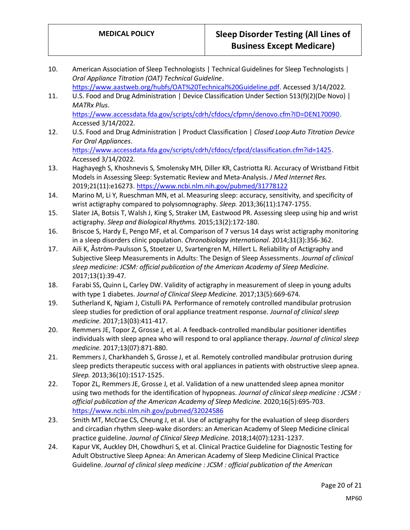- 10. American Association of Sleep Technologists | Technical Guidelines for Sleep Technologists | *Oral Appliance Titration (OAT) Technical Guideline*.
	- [https://www.aastweb.org/hubfs/OAT%20Technical%20Guideline.pdf.](https://www.aastweb.org/hubfs/OAT%20Technical%20Guideline.pdf) Accessed 3/14/2022.
- 11. U.S. Food and Drug Administration | Device Classification Under Section 513(f)(2)(De Novo) | *MATRx Plus*. [https://www.accessdata.fda.gov/scripts/cdrh/cfdocs/cfpmn/denovo.cfm?ID=DEN170090.](https://www.accessdata.fda.gov/scripts/cdrh/cfdocs/cfpmn/denovo.cfm?ID=DEN170090) Accessed 3/14/2022.
- 12. U.S. Food and Drug Administration | Product Classification | *Closed Loop Auto Titration Device For Oral Appliances*. [https://www.accessdata.fda.gov/scripts/cdrh/cfdocs/cfpcd/classification.cfm?id=1425.](https://www.accessdata.fda.gov/scripts/cdrh/cfdocs/cfpcd/classification.cfm?id=1425)

Accessed 3/14/2022. 13. Haghayegh S, Khoshnevis S, Smolensky MH, Diller KR, Castriotta RJ. Accuracy of Wristband Fitbit Models in Assessing Sleep: Systematic Review and Meta-Analysis. *J Med Internet Res.*  2019;21(11):e16273.<https://www.ncbi.nlm.nih.gov/pubmed/31778122>

- 14. Marino M, Li Y, Rueschman MN, et al. Measuring sleep: accuracy, sensitivity, and specificity of wrist actigraphy compared to polysomnography. *Sleep.* 2013;36(11):1747-1755.
- 15. Slater JA, Botsis T, Walsh J, King S, Straker LM, Eastwood PR. Assessing sleep using hip and wrist actigraphy. *Sleep and Biological Rhythms.* 2015;13(2):172-180.
- 16. Briscoe S, Hardy E, Pengo MF, et al. Comparison of 7 versus 14 days wrist actigraphy monitoring in a sleep disorders clinic population. *Chronobiology international.* 2014;31(3):356-362.
- 17. Aili K, Åström-Paulsson S, Stoetzer U, Svartengren M, Hillert L. Reliability of Actigraphy and Subjective Sleep Measurements in Adults: The Design of Sleep Assessments. *Journal of clinical sleep medicine: JCSM: official publication of the American Academy of Sleep Medicine.*  2017;13(1):39-47.
- 18. Farabi SS, Quinn L, Carley DW. Validity of actigraphy in measurement of sleep in young adults with type 1 diabetes. *Journal of Clinical Sleep Medicine.* 2017;13(5):669-674.
- 19. Sutherland K, Ngiam J, Cistulli PA. Performance of remotely controlled mandibular protrusion sleep studies for prediction of oral appliance treatment response. *Journal of clinical sleep medicine.* 2017;13(03):411-417.
- 20. Remmers JE, Topor Z, Grosse J, et al. A feedback-controlled mandibular positioner identifies individuals with sleep apnea who will respond to oral appliance therapy. *Journal of clinical sleep medicine.* 2017;13(07):871-880.
- 21. Remmers J, Charkhandeh S, Grosse J, et al. Remotely controlled mandibular protrusion during sleep predicts therapeutic success with oral appliances in patients with obstructive sleep apnea. *Sleep.* 2013;36(10):1517-1525.
- 22. Topor ZL, Remmers JE, Grosse J, et al. Validation of a new unattended sleep apnea monitor using two methods for the identification of hypopneas. *Journal of clinical sleep medicine : JCSM : official publication of the American Academy of Sleep Medicine.* 2020;16(5):695-703. <https://www.ncbi.nlm.nih.gov/pubmed/32024586>
- 23. Smith MT, McCrae CS, Cheung J, et al. Use of actigraphy for the evaluation of sleep disorders and circadian rhythm sleep-wake disorders: an American Academy of Sleep Medicine clinical practice guideline. *Journal of Clinical Sleep Medicine.* 2018;14(07):1231-1237.
- 24. Kapur VK, Auckley DH, Chowdhuri S, et al. Clinical Practice Guideline for Diagnostic Testing for Adult Obstructive Sleep Apnea: An American Academy of Sleep Medicine Clinical Practice Guideline. *Journal of clinical sleep medicine : JCSM : official publication of the American*